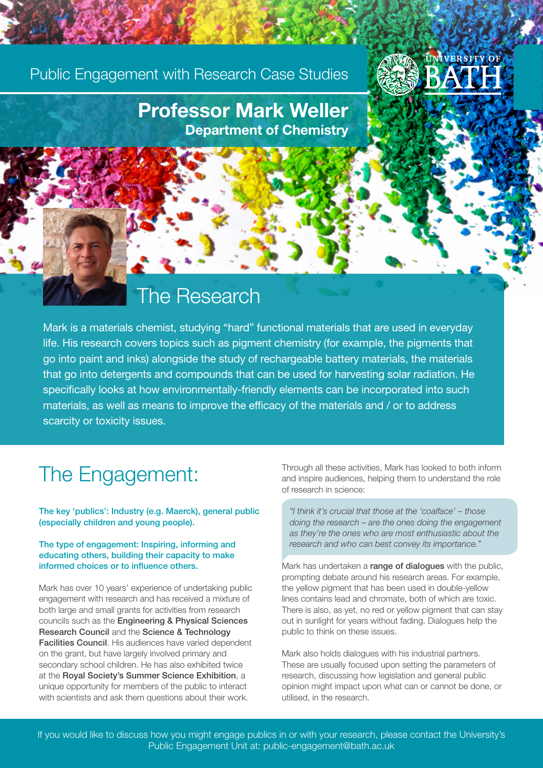### Public Engagement with Research Case Studies



### Professor Mark Weller Department of Chemistry

### The Research

Mark is a materials chemist, studying "hard" functional materials that are used in everyday life. His research covers topics such as pigment chemistry (for example, the pigments that go into paint and inks) alongside the study of rechargeable battery materials, the materials that go into detergents and compounds that can be used for harvesting solar radiation. He specifically looks at how environmentally-friendly elements can be incorporated into such materials, as well as means to improve the efficacy of the materials and / or to address scarcity or toxicity issues.

### The Engagement:

The key 'publics': Industry (e.g. Maerck), general public (especially children and young people).

#### The type of engagement: Inspiring, informing and educating others, building their capacity to make informed choices or to influence others.

Mark has over 10 years' experience of undertaking public engagement with research and has received a mixture of both large and small grants for activities from research councils such as the Engineering & Physical Sciences Research Council and the Science & Technology Facilities Council. His audiences have varied dependent on the grant, but have largely involved primary and secondary school children. He has also exhibited twice at the Royal Society's Summer Science Exhibition, a unique opportunity for members of the public to interact with scientists and ask them questions about their work.

Through all these activities, Mark has looked to both inform and inspire audiences, helping them to understand the role of research in science:

*"I think it's crucial that those at the 'coalface' – those doing the research – are the ones doing the engagement as they're the ones who are most enthusiastic about the research and who can best convey its importance."*

Mark has undertaken a range of dialogues with the public, prompting debate around his research areas. For example, the yellow pigment that has been used in double-yellow lines contains lead and chromate, both of which are toxic. There is also, as yet, no red or yellow pigment that can stay out in sunlight for years without fading. Dialogues help the public to think on these issues.

Mark also holds dialogues with his industrial partners. These are usually focused upon setting the parameters of research, discussing how legislation and general public opinion might impact upon what can or cannot be done, or utilised, in the research.